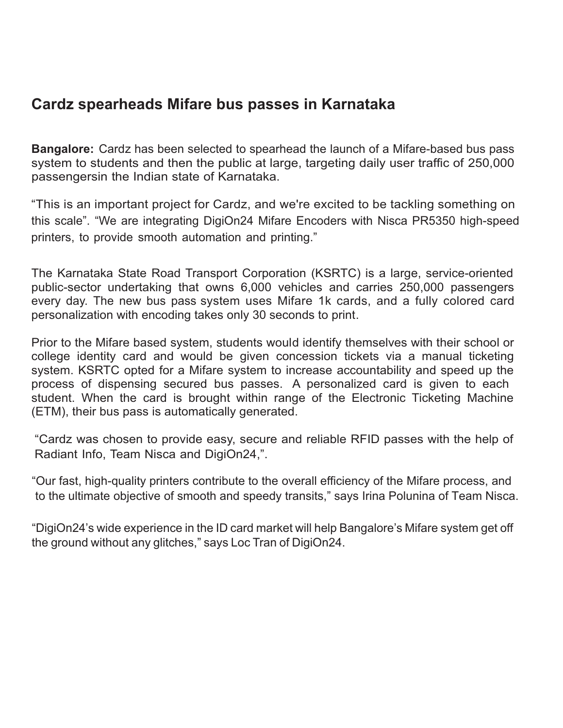## **Cardz spearheads Mifare bus passes in Karnataka**

**Bangalore:** Cardz has been selected to spearhead the launch of a Mifare-based bus pass system to students and then the public at large, targeting daily user traffic of 250,000 passengersin the Indian state of Karnataka.

"This is an important project for Cardz, and we're excited to be tackling something on this scale". "We are integrating DigiOn24 Mifare Encoders with Nisca PR5350 high-speed printers, to provide smooth automation and printing."

The Karnataka State Road Transport Corporation (KSRTC) is a large, service-oriented public-sector undertaking that owns 6,000 vehicles and carries 250,000 passengers every day. The new bus pass system uses Mifare 1k cards, and a fully colored card personalization with encoding takes only 30 seconds to print.

Prior to the Mifare based system, students would identify themselves with their school or college identity card and would be given concession tickets via a manual ticketing system. KSRTC opted for a Mifare system to increase accountability and speed up the process of dispensing secured bus passes. A personalized card is given to each student. When the card is brought within range of the Electronic Ticketing Machine (ETM), their bus pass is automatically generated.

"Cardz was chosen to provide easy, secure and reliable RFID passes with the help of Radiant Info, Team Nisca and DigiOn24,".

"Our fast, high-quality printers contribute to the overall efficiency of the Mifare process, and to the ultimate objective of smooth and speedy transits," says Irina Polunina of Team Nisca.

"DigiOn24's wide experience in the ID card market will help Bangalore's Mifare system get off the ground without any glitches," says Loc Tran of DigiOn24.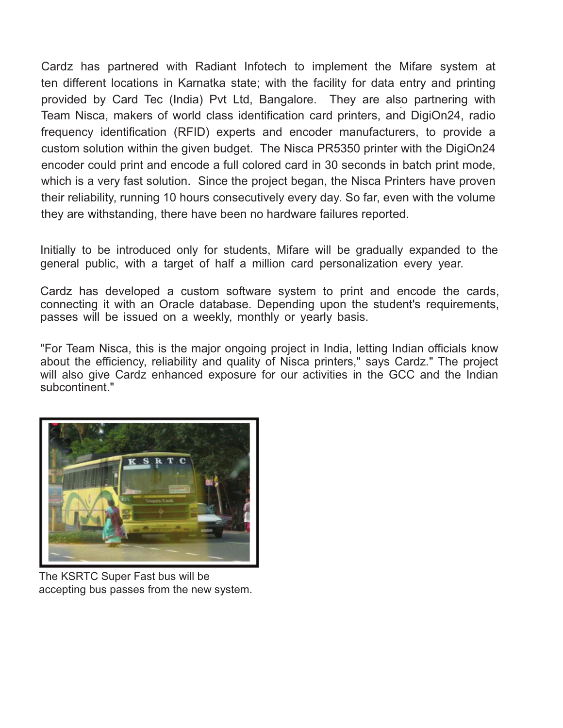. provided by Card Tec (India) Pvt Ltd, Bangalore. They are also partnering with Cardz has partnered with Radiant Infotech to implement the Mifare system at ten different locations in Karnatka state; with the facility for data entry and printing Team Nisca, makers of world class identification card printers, and DigiOn24, radio frequency identification (RFID) experts and encoder manufacturers, to provide a custom solution within the given budget. The Nisca PR5350 printer with the DigiOn24 encoder could print and encode a full colored card in 30 seconds in batch print mode, which is a very fast solution. Since the project began, the Nisca Printers have proven their reliability, running 10 hours consecutively every day. So far, even with the volume they are withstanding, there have been no hardware failures reported.

Initially to be introduced only for students, Mifare will be gradually expanded to the general public, with a target of half a million card personalization every year.

Cardz has developed a custom software system to print and encode the cards, connecting it with an Oracle database. Depending upon the student's requirements, passes will be issued on a weekly, monthly or yearly basis.

"For Team Nisca, this is the major ongoing project in India, letting Indian officials know about the efficiency, reliability and quality of Nisca printers," says Cardz." The project will also give Cardz enhanced exposure for our activities in the GCC and the Indian subcontinent."



The KSRTC Super Fast bus will be accepting bus passes from the new system.